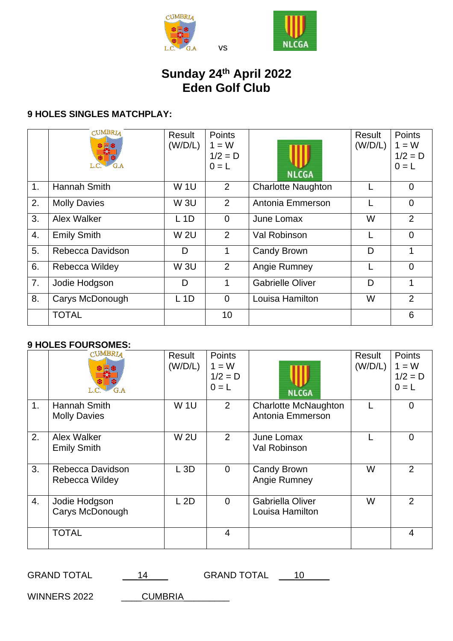



## **Sunday 24 th April 2022 Eden Golf Club**

vs

## **9 HOLES SINGLES MATCHPLAY:**

|    | <b>CUMBRIA</b><br>G.A | Result<br>(W/D/L) | <b>Points</b><br>$1 = W$<br>$1/2 = D$<br>$0 = L$ | <b>NLCGA</b>              | Result<br>(W/D/L) | <b>Points</b><br>$1 = W$<br>$1/2 = D$<br>$0 = L$ |
|----|-----------------------|-------------------|--------------------------------------------------|---------------------------|-------------------|--------------------------------------------------|
| 1. | Hannah Smith          | <b>W1U</b>        | 2                                                | <b>Charlotte Naughton</b> |                   | $\Omega$                                         |
| 2. | <b>Molly Davies</b>   | <b>W3U</b>        | 2                                                | Antonia Emmerson          |                   | $\Omega$                                         |
| 3. | Alex Walker           | $L$ 1D            | $\overline{0}$                                   | June Lomax                | W                 | 2                                                |
| 4. | <b>Emily Smith</b>    | <b>W2U</b>        | 2                                                | Val Robinson              |                   | $\Omega$                                         |
| 5. | Rebecca Davidson      | D                 | 1                                                | Candy Brown               | D                 | 1                                                |
| 6. | Rebecca Wildey        | <b>W3U</b>        | 2                                                | Angie Rumney              |                   | $\Omega$                                         |
| 7. | Jodie Hodgson         | D                 | 1                                                | <b>Gabrielle Oliver</b>   | D                 | 1                                                |
| 8. | Carys McDonough       | $L$ 1D            | $\Omega$                                         | Louisa Hamilton           | W                 | 2                                                |
|    | <b>TOTAL</b>          |                   | 10                                               |                           |                   | 6                                                |

## **9 HOLES FOURSOMES:**

|    | <b>CUMBRIA</b>                      | Result<br>(W/D/L) | Points<br>$1 = W$<br>$1/2 = D$<br>$0 = L$ | <b>NLCGA</b>                                    | Result<br>(W/D/L) | <b>Points</b><br>$1 = W$<br>$1/2 = D$<br>$0 = L$ |
|----|-------------------------------------|-------------------|-------------------------------------------|-------------------------------------------------|-------------------|--------------------------------------------------|
| 1. | Hannah Smith<br><b>Molly Davies</b> | <b>W1U</b>        | 2                                         | <b>Charlotte McNaughton</b><br>Antonia Emmerson |                   | $\overline{0}$                                   |
| 2. | Alex Walker<br><b>Emily Smith</b>   | <b>W2U</b>        | 2                                         | June Lomax<br>Val Robinson                      |                   | $\Omega$                                         |
| 3. | Rebecca Davidson<br>Rebecca Wildey  | L3D               | $\Omega$                                  | Candy Brown<br>Angie Rumney                     | W                 | $\overline{2}$                                   |
| 4. | Jodie Hodgson<br>Carys McDonough    | L 2D              | $\Omega$                                  | Gabriella Oliver<br>Louisa Hamilton             | W                 | 2                                                |
|    | <b>TOTAL</b>                        |                   | $\overline{4}$                            |                                                 |                   | $\overline{4}$                                   |

GRAND TOTAL  $\underline{\qquad 14}$  GRAND TOTAL  $\underline{\qquad 10}$ 

WINNERS 2022 \_\_\_\_\_\_CUMBRIA\_\_\_\_